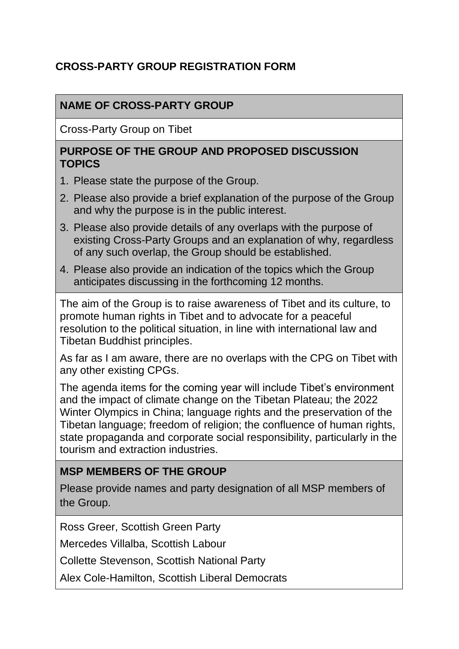## **CROSS-PARTY GROUP REGISTRATION FORM**

## **NAME OF CROSS-PARTY GROUP**

Cross-Party Group on Tibet

#### **PURPOSE OF THE GROUP AND PROPOSED DISCUSSION TOPICS**

- 1. Please state the purpose of the Group.
- 2. Please also provide a brief explanation of the purpose of the Group and why the purpose is in the public interest.
- 3. Please also provide details of any overlaps with the purpose of existing Cross-Party Groups and an explanation of why, regardless of any such overlap, the Group should be established.
- 4. Please also provide an indication of the topics which the Group anticipates discussing in the forthcoming 12 months.

The aim of the Group is to raise awareness of Tibet and its culture, to promote human rights in Tibet and to advocate for a peaceful resolution to the political situation, in line with international law and Tibetan Buddhist principles.

As far as I am aware, there are no overlaps with the CPG on Tibet with any other existing CPGs.

The agenda items for the coming year will include Tibet's environment and the impact of climate change on the Tibetan Plateau; the 2022 Winter Olympics in China; language rights and the preservation of the Tibetan language; freedom of religion; the confluence of human rights, state propaganda and corporate social responsibility, particularly in the tourism and extraction industries.

## **MSP MEMBERS OF THE GROUP**

Please provide names and party designation of all MSP members of the Group.

Ross Greer, Scottish Green Party

Mercedes Villalba, Scottish Labour

Collette Stevenson, Scottish National Party

Alex Cole-Hamilton, Scottish Liberal Democrats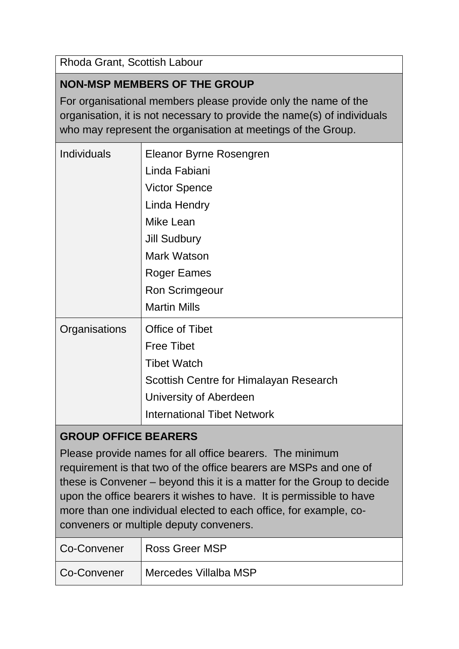Rhoda Grant, Scottish Labour

# **NON-MSP MEMBERS OF THE GROUP**

For organisational members please provide only the name of the organisation, it is not necessary to provide the name(s) of individuals who may represent the organisation at meetings of the Group.

| <b>Individuals</b> | Eleanor Byrne Rosengren                |
|--------------------|----------------------------------------|
|                    | Linda Fabiani                          |
|                    | <b>Victor Spence</b>                   |
|                    | Linda Hendry                           |
|                    | Mike Lean                              |
|                    | <b>Jill Sudbury</b>                    |
|                    | Mark Watson                            |
|                    | Roger Eames                            |
|                    | Ron Scrimgeour                         |
|                    | <b>Martin Mills</b>                    |
| Organisations      | <b>Office of Tibet</b>                 |
|                    | <b>Free Tibet</b>                      |
|                    | <b>Tibet Watch</b>                     |
|                    | Scottish Centre for Himalayan Research |
|                    | University of Aberdeen                 |
|                    | <b>International Tibet Network</b>     |

# **GROUP OFFICE BEARERS**

Please provide names for all office bearers. The minimum requirement is that two of the office bearers are MSPs and one of these is Convener – beyond this it is a matter for the Group to decide upon the office bearers it wishes to have. It is permissible to have more than one individual elected to each office, for example, coconveners or multiple deputy conveners.

|             | Co-Convener Ross Greer MSP |
|-------------|----------------------------|
| Co-Convener | Mercedes Villalba MSP      |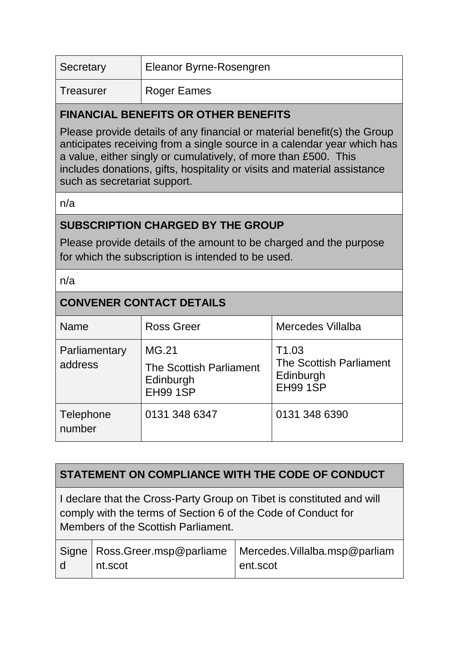| Secretary        | Eleanor Byrne-Rosengren |
|------------------|-------------------------|
| <b>Treasurer</b> | <b>Roger Eames</b>      |

#### **FINANCIAL BENEFITS OR OTHER BENEFITS**

Please provide details of any financial or material benefit(s) the Group anticipates receiving from a single source in a calendar year which has a value, either singly or cumulatively, of more than £500. This includes donations, gifts, hospitality or visits and material assistance such as secretariat support.

n/a

## **SUBSCRIPTION CHARGED BY THE GROUP**

Please provide details of the amount to be charged and the purpose for which the subscription is intended to be used.

n/a

#### **CONVENER CONTACT DETAILS**

| <b>Name</b>              | <b>Ross Greer</b>                                                       | Mercedes Villalba                                                            |
|--------------------------|-------------------------------------------------------------------------|------------------------------------------------------------------------------|
| Parliamentary<br>address | MG.21<br><b>The Scottish Parliament</b><br>Edinburgh<br><b>EH99 1SP</b> | T <sub>1.03</sub><br>The Scottish Parliament<br>Edinburgh<br><b>EH99 1SP</b> |
| Telephone<br>number      | 0131 348 6347                                                           | 0131 348 6390                                                                |

|  | STATEMENT ON COMPLIANCE WITH THE CODE OF CONDUCT |  |  |
|--|--------------------------------------------------|--|--|
|--|--------------------------------------------------|--|--|

I declare that the Cross-Party Group on Tibet is constituted and will comply with the terms of Section 6 of the Code of Conduct for Members of the Scottish Parliament.

|     |          | Signe   Ross.Greer.msp@parliame   Mercedes.Villalba.msp@parliam |
|-----|----------|-----------------------------------------------------------------|
| l d | Int.scot | $ $ ent.scot                                                    |